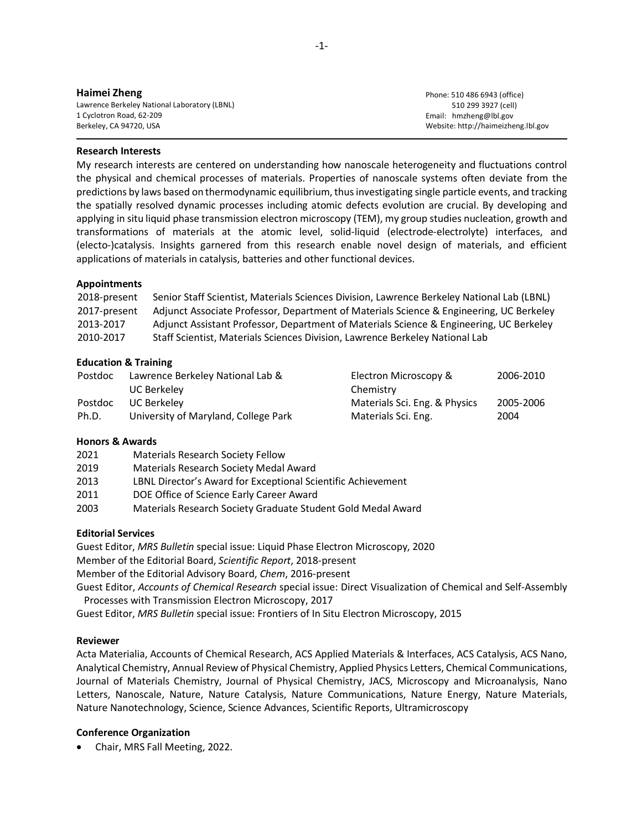| Haimei Zheng                                 |
|----------------------------------------------|
| Lawrence Berkeley National Laboratory (LBNL) |
| 1 Cyclotron Road, 62-209                     |
| Berkeley, CA 94720, USA                      |

Phone: 510 486 6943 (office) 510 299 3927 (cell) Email: hmzheng@lbl.gov Website: http://haimeizheng.lbl.gov

#### **Research Interests**

My research interests are centered on understanding how nanoscale heterogeneity and fluctuations control the physical and chemical processes of materials. Properties of nanoscale systems often deviate from the predictions by laws based on thermodynamic equilibrium, thus investigating single particle events, and tracking the spatially resolved dynamic processes including atomic defects evolution are crucial. By developing and applying in situ liquid phase transmission electron microscopy (TEM), my group studies nucleation, growth and transformations of materials at the atomic level, solid-liquid (electrode-electrolyte) interfaces, and (electo-)catalysis. Insights garnered from this research enable novel design of materials, and efficient applications of materials in catalysis, batteries and other functional devices.

#### **Appointments**

| 2018-present | Senior Staff Scientist, Materials Sciences Division, Lawrence Berkeley National Lab (LBNL) |
|--------------|--------------------------------------------------------------------------------------------|
| 2017-present | Adjunct Associate Professor, Department of Materials Science & Engineering, UC Berkeley    |
| 2013-2017    | Adjunct Assistant Professor, Department of Materials Science & Engineering, UC Berkeley    |
| 2010-2017    | Staff Scientist, Materials Sciences Division, Lawrence Berkeley National Lab               |

#### **Education & Training**

| Postdoc | Lawrence Berkeley National Lab &     | Electron Microscopy &         | 2006-2010 |
|---------|--------------------------------------|-------------------------------|-----------|
|         | UC Berkeley                          | Chemistry                     |           |
| Postdoc | UC Berkelev                          | Materials Sci. Eng. & Physics | 2005-2006 |
| Ph.D.   | University of Maryland, College Park | Materials Sci. Eng.           | 2004      |

## **Honors & Awards**

| 2021 | <b>Materials Research Society Fellow</b>                     |
|------|--------------------------------------------------------------|
| 2019 | Materials Research Society Medal Award                       |
| 2013 | LBNL Director's Award for Exceptional Scientific Achievement |
| 2011 | DOE Office of Science Early Career Award                     |
| 2003 | Materials Research Society Graduate Student Gold Medal Award |
|      |                                                              |

## **Editorial Services**

Guest Editor, *MRS Bulletin* special issue: Liquid Phase Electron Microscopy, 2020 Member of the Editorial Board, *Scientific Report*, 2018-present Member of the Editorial Advisory Board, *Chem*, 2016-present Guest Editor, *Accounts of Chemical Research* special issue: Direct Visualization of Chemical and Self-Assembly Processes with Transmission Electron Microscopy, 2017

Guest Editor, *MRS Bulletin* special issue: Frontiers of In Situ Electron Microscopy, 2015

## **Reviewer**

Acta Materialia, Accounts of Chemical Research, ACS Applied Materials & Interfaces, ACS Catalysis, ACS Nano, Analytical Chemistry, Annual Review of Physical Chemistry, Applied Physics Letters, Chemical Communications, Journal of Materials Chemistry, Journal of Physical Chemistry, JACS, Microscopy and Microanalysis, Nano Letters, Nanoscale, Nature, Nature Catalysis, Nature Communications, Nature Energy, Nature Materials, Nature Nanotechnology, Science, Science Advances, Scientific Reports, Ultramicroscopy

## **Conference Organization**

• Chair, MRS Fall Meeting, 2022.